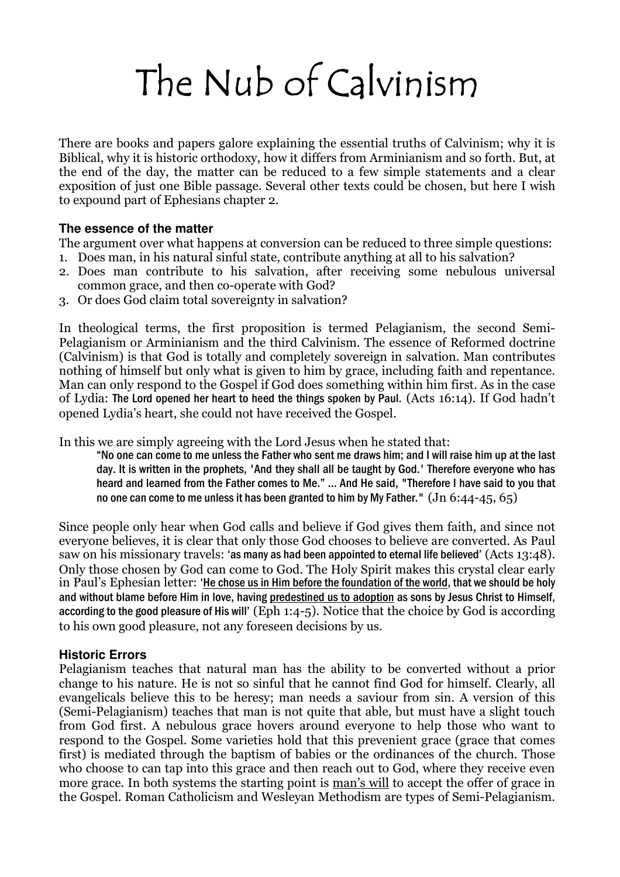# The Nub of Calvinism

There are books and papers galore explaining the essential truths of Calvinism; why it is Biblical, why it is historic orthodoxy, how it differs from Arminianism and so forth. But, at the end of the day, the matter can be reduced to a few simple statements and a clear exposition of just one Bible passage. Several other texts could be chosen, but here I wish to expound part of Ephesians chapter 2.

# **The essence of the matter**

The argument over what happens at conversion can be reduced to three simple questions:

- 1. Does man, in his natural sinful state, contribute anything at all to his salvation?
- 2. Does man contribute to his salvation, after receiving some nebulous universal common grace, and then co-operate with God?
- 3. Or does God claim total sovereignty in salvation?

In theological terms, the first proposition is termed Pelagianism, the second Semi-Pelagianism or Arminianism and the third Calvinism. The essence of Reformed doctrine (Calvinism) is that God is totally and completely sovereign in salvation. Man contributes nothing of himself but only what is given to him by grace, including faith and repentance. Man can only respond to the Gospel if God does something within him first. As in the case of Lydia: The Lord opened her heart to heed the things spoken by Paul. (Acts 16:14). If God hadn't opened Lydia's heart, she could not have received the Gospel.

In this we are simply agreeing with the Lord Jesus when he stated that:

"No one can come to me unless the Father who sent me draws him; and I will raise him up at the last day. It is written in the prophets, 'And they shall all be taught by God.' Therefore everyone who has heard and learned from the Father comes to Me." … And He said, "Therefore I have said to you that no one can come to me unless it has been granted to him by My Father."  $($ Jn 6:44-45, 65)

Since people only hear when God calls and believe if God gives them faith, and since not everyone believes, it is clear that only those God chooses to believe are converted. As Paul saw on his missionary travels: 'as many as had been appointed to eternal life believed' (Acts 13:48). Only those chosen by God can come to God. The Holy Spirit makes this crystal clear early in Paul's Ephesian letter: 'He chose us in Him before the foundation of the world, that we should be holy and without blame before Him in love, having predestined us to adoption as sons by Jesus Christ to Himself, according to the good pleasure of His will' (Eph 1:4-5). Notice that the choice by God is according to his own good pleasure, not any foreseen decisions by us.

# **Historic Errors**

Pelagianism teaches that natural man has the ability to be converted without a prior change to his nature. He is not so sinful that he cannot find God for himself. Clearly, all evangelicals believe this to be heresy; man needs a saviour from sin. A version of this (Semi-Pelagianism) teaches that man is not quite that able, but must have a slight touch from God first. A nebulous grace hovers around everyone to help those who want to respond to the Gospel. Some varieties hold that this prevenient grace (grace that comes first) is mediated through the baptism of babies or the ordinances of the church. Those who choose to can tap into this grace and then reach out to God, where they receive even more grace. In both systems the starting point is man's will to accept the offer of grace in the Gospel. Roman Catholicism and Wesleyan Methodism are types of Semi-Pelagianism.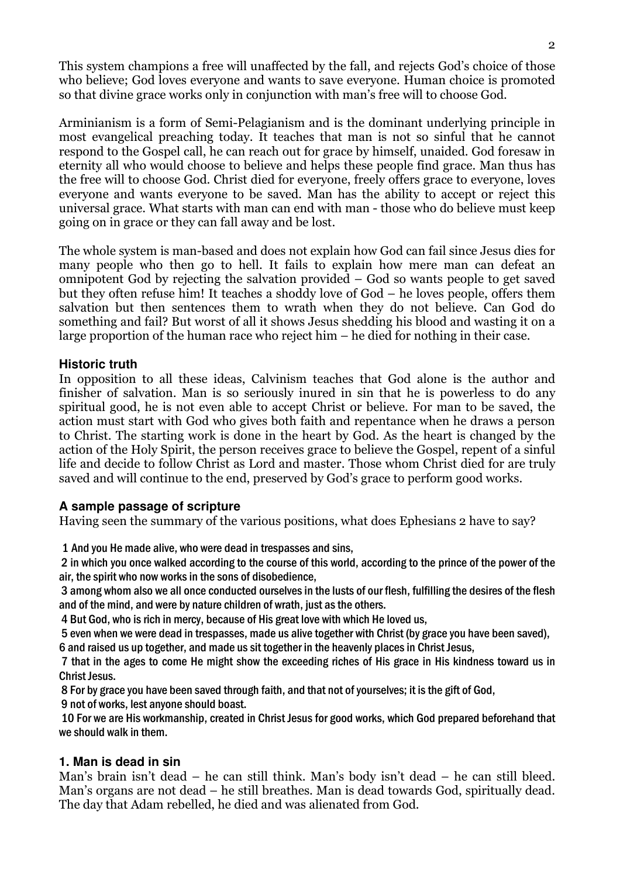This system champions a free will unaffected by the fall, and rejects God's choice of those who believe; God loves everyone and wants to save everyone. Human choice is promoted so that divine grace works only in conjunction with man's free will to choose God.

Arminianism is a form of Semi-Pelagianism and is the dominant underlying principle in most evangelical preaching today. It teaches that man is not so sinful that he cannot respond to the Gospel call, he can reach out for grace by himself, unaided. God foresaw in eternity all who would choose to believe and helps these people find grace. Man thus has the free will to choose God. Christ died for everyone, freely offers grace to everyone, loves everyone and wants everyone to be saved. Man has the ability to accept or reject this universal grace. What starts with man can end with man - those who do believe must keep going on in grace or they can fall away and be lost.

The whole system is man-based and does not explain how God can fail since Jesus dies for many people who then go to hell. It fails to explain how mere man can defeat an omnipotent God by rejecting the salvation provided – God so wants people to get saved but they often refuse him! It teaches a shoddy love of God – he loves people, offers them salvation but then sentences them to wrath when they do not believe. Can God do something and fail? But worst of all it shows Jesus shedding his blood and wasting it on a large proportion of the human race who reject him – he died for nothing in their case.

# **Historic truth**

In opposition to all these ideas, Calvinism teaches that God alone is the author and finisher of salvation. Man is so seriously inured in sin that he is powerless to do any spiritual good, he is not even able to accept Christ or believe. For man to be saved, the action must start with God who gives both faith and repentance when he draws a person to Christ. The starting work is done in the heart by God. As the heart is changed by the action of the Holy Spirit, the person receives grace to believe the Gospel, repent of a sinful life and decide to follow Christ as Lord and master. Those whom Christ died for are truly saved and will continue to the end, preserved by God's grace to perform good works.

# **A sample passage of scripture**

Having seen the summary of the various positions, what does Ephesians 2 have to say?

1 And you He made alive, who were dead in trespasses and sins,

 2 in which you once walked according to the course of this world, according to the prince of the power of the air, the spirit who now works in the sons of disobedience,

 3 among whom also we all once conducted ourselves in the lusts of our flesh, fulfilling the desires of the flesh and of the mind, and were by nature children of wrath, just as the others.

4 But God, who is rich in mercy, because of His great love with which He loved us,

 5 even when we were dead in trespasses, made us alive together with Christ (by grace you have been saved), 6 and raised us up together, and made us sit together in the heavenly places in Christ Jesus,

 7 that in the ages to come He might show the exceeding riches of His grace in His kindness toward us in Christ Jesus.

8 For by grace you have been saved through faith, and that not of yourselves; it is the gift of God,

9 not of works, lest anyone should boast.

 10 For we are His workmanship, created in Christ Jesus for good works, which God prepared beforehand that we should walk in them.

# **1. Man is dead in sin**

Man's brain isn't dead – he can still think. Man's body isn't dead – he can still bleed. Man's organs are not dead – he still breathes. Man is dead towards God, spiritually dead. The day that Adam rebelled, he died and was alienated from God.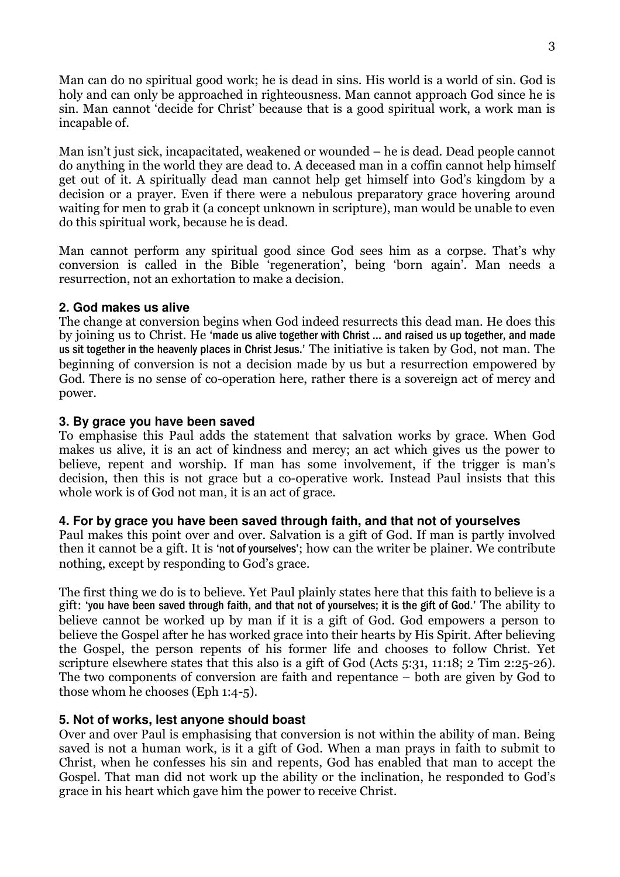Man can do no spiritual good work; he is dead in sins. His world is a world of sin. God is holy and can only be approached in righteousness. Man cannot approach God since he is sin. Man cannot 'decide for Christ' because that is a good spiritual work, a work man is incapable of.

Man isn't just sick, incapacitated, weakened or wounded – he is dead. Dead people cannot do anything in the world they are dead to. A deceased man in a coffin cannot help himself get out of it. A spiritually dead man cannot help get himself into God's kingdom by a decision or a prayer. Even if there were a nebulous preparatory grace hovering around waiting for men to grab it (a concept unknown in scripture), man would be unable to even do this spiritual work, because he is dead.

Man cannot perform any spiritual good since God sees him as a corpse. That's why conversion is called in the Bible 'regeneration', being 'born again'. Man needs a resurrection, not an exhortation to make a decision.

# **2. God makes us alive**

The change at conversion begins when God indeed resurrects this dead man. He does this by joining us to Christ. He 'made us alive together with Christ … and raised us up together, and made us sit together in the heavenly places in Christ Jesus.' The initiative is taken by God, not man. The beginning of conversion is not a decision made by us but a resurrection empowered by God. There is no sense of co-operation here, rather there is a sovereign act of mercy and power.

#### **3. By grace you have been saved**

To emphasise this Paul adds the statement that salvation works by grace. When God makes us alive, it is an act of kindness and mercy; an act which gives us the power to believe, repent and worship. If man has some involvement, if the trigger is man's decision, then this is not grace but a co-operative work. Instead Paul insists that this whole work is of God not man, it is an act of grace.

#### **4. For by grace you have been saved through faith, and that not of yourselves**

Paul makes this point over and over. Salvation is a gift of God. If man is partly involved then it cannot be a gift. It is 'not of yourselves'; how can the writer be plainer. We contribute nothing, except by responding to God's grace.

The first thing we do is to believe. Yet Paul plainly states here that this faith to believe is a gift: 'you have been saved through faith, and that not of yourselves; it is the gift of God.' The ability to believe cannot be worked up by man if it is a gift of God. God empowers a person to believe the Gospel after he has worked grace into their hearts by His Spirit. After believing the Gospel, the person repents of his former life and chooses to follow Christ. Yet scripture elsewhere states that this also is a gift of God (Acts 5:31, 11:18; 2 Tim 2:25-26). The two components of conversion are faith and repentance – both are given by God to those whom he chooses (Eph 1:4-5).

# **5. Not of works, lest anyone should boast**

Over and over Paul is emphasising that conversion is not within the ability of man. Being saved is not a human work, is it a gift of God. When a man prays in faith to submit to Christ, when he confesses his sin and repents, God has enabled that man to accept the Gospel. That man did not work up the ability or the inclination, he responded to God's grace in his heart which gave him the power to receive Christ.